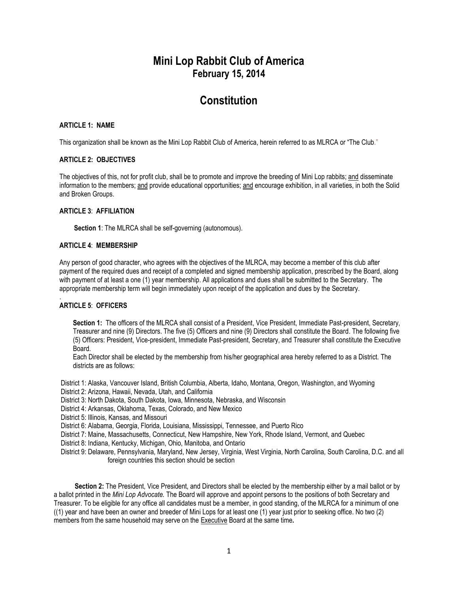## **Mini Lop Rabbit Club of America February 15, 2014**

## **Constitution**

## **ARTICLE 1: NAME**

This organization shall be known as the Mini Lop Rabbit Club of America, herein referred to as MLRCA or "The Club."

## **ARTICLE 2: OBJECTIVES**

The objectives of this, not for profit club, shall be to promote and improve the breeding of Mini Lop rabbits; and disseminate information to the members; and provide educational opportunities; and encourage exhibition, in all varieties, in both the Solid and Broken Groups.

## **ARTICLE 3**: **AFFILIATION**

**Section 1**: The MLRCA shall be self-governing (autonomous).

## **ARTICLE 4**: **MEMBERSHIP**

Any person of good character, who agrees with the objectives of the MLRCA, may become a member of this club after payment of the required dues and receipt of a completed and signed membership application, prescribed by the Board, along with payment of at least a one (1) year membership. All applications and dues shall be submitted to the Secretary. The appropriate membership term will begin immediately upon receipt of the application and dues by the Secretary.

#### . **ARTICLE 5**: **OFFICERS**

Section 1: The officers of the MLRCA shall consist of a President, Vice President, Immediate Past-president, Secretary, Treasurer and nine (9) Directors. The five (5) Officers and nine (9) Directors shall constitute the Board. The following five (5) Officers: President, Vice-president, Immediate Past-president, Secretary, and Treasurer shall constitute the Executive Board.

Each Director shall be elected by the membership from his/her geographical area hereby referred to as a District. The districts are as follows:

District 1: Alaska, Vancouver Island, British Columbia, Alberta, Idaho, Montana, Oregon, Washington, and Wyoming District 2: Arizona, Hawaii, Nevada, Utah, and California

District 3: North Dakota, South Dakota, Iowa, Minnesota, Nebraska, and Wisconsin

District 4: Arkansas, Oklahoma, Texas, Colorado, and New Mexico

District 5: Illinois, Kansas, and Missouri

District 6: Alabama, Georgia, Florida, Louisiana, Mississippi, Tennessee, and Puerto Rico

District 7: Maine, Massachusetts, Connecticut, New Hampshire, New York, Rhode Island, Vermont, and Quebec

District 8: Indiana, Kentucky, Michigan, Ohio, Manitoba, and Ontario

District 9: Delaware, Pennsylvania, Maryland, New Jersey, Virginia, West Virginia, North Carolina, South Carolina, D.C. and all foreign countries this section should be section

**Section 2:** The President, Vice President, and Directors shall be elected by the membership either by a mail ballot or by a ballot printed in the *Mini Lop Advocate.* The Board will approve and appoint persons to the positions of both Secretary and Treasurer. To be eligible for any office all candidates must be a member, in good standing, of the MLRCA for a minimum of one ((1) year and have been an owner and breeder of Mini Lops for at least one (1) year just prior to seeking office. No two (2) members from the same household may serve on the Executive Board at the same time*.*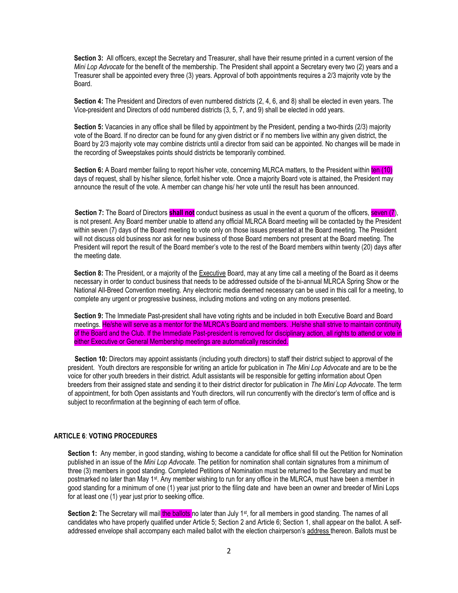**Section 3:** All officers, except the Secretary and Treasurer, shall have their resume printed in a current version of the *Mini Lop Advocate* for the benefit of the membership. The President shall appoint a Secretary every two (2) years and a Treasurer shall be appointed every three (3) years. Approval of both appointments requires a 2/3 majority vote by the Board.

**Section 4:** The President and Directors of even numbered districts (2, 4, 6, and 8) shall be elected in even years. The Vice-president and Directors of odd numbered districts (3, 5, 7, and 9) shall be elected in odd years.

**Section 5:** Vacancies in any office shall be filled by appointment by the President, pending a two-thirds (2/3) majority vote of the Board. If no director can be found for any given district or if no members live within any given district, the Board by 2/3 majority vote may combine districts until a director from said can be appointed. No changes will be made in the recording of Sweepstakes points should districts be temporarily combined.

**Section 6:** A Board member failing to report his/her vote, concerning MLRCA matters, to the President within ten (10) days of request, shall by his/her silence, forfeit his/her vote. Once a majority Board vote is attained, the President may announce the result of the vote. A member can change his/ her vote until the result has been announced.

**Section 7:** The Board of Directors **shall not** conduct business as usual in the event a quorum of the officers, seven (7), is not present. Any Board member unable to attend any official MLRCA Board meeting will be contacted by the President within seven (7) days of the Board meeting to vote only on those issues presented at the Board meeting. The President will not discuss old business nor ask for new business of those Board members not present at the Board meeting. The President will report the result of the Board member's vote to the rest of the Board members within twenty (20) days after the meeting date.

**Section 8:** The President, or a majority of the Executive Board, may at any time call a meeting of the Board as it deems necessary in order to conduct business that needs to be addressed outside of the bi-annual MLRCA Spring Show or the National All-Breed Convention meeting. Any electronic media deemed necessary can be used in this call for a meeting, to complete any urgent or progressive business, including motions and voting on any motions presented.

**Section 9:** The Immediate Past-president shall have voting rights and be included in both Executive Board and Board meetings. He/she will serve as a mentor for the MLRCA's Board and members. .He/she shall strive to maintain continuity of the Board and the Club. If the Immediate Past-president is removed for disciplinary action, all rights to attend or vote in either Executive or General Membership meetings are automatically rescinded.

 **Section 10:** Directors may appoint assistants (including youth directors) to staff their district subject to approval of the president. Youth directors are responsible for writing an article for publication in *The Mini Lop Advocate* and are to be the voice for other youth breeders in their district. Adult assistants will be responsible for getting information about Open breeders from their assigned state and sending it to their district director for publication in *The Mini Lop Advocate*. The term of appointment, for both Open assistants and Youth directors, will run concurrently with the director's term of office and is subject to reconfirmation at the beginning of each term of office.

#### **ARTICLE 6**: **VOTING PROCEDURES**

**Section 1:** Any member, in good standing, wishing to become a candidate for office shall fill out the Petition for Nomination published in an issue of the *Mini Lop Advocate.* The petition for nomination shall contain signatures from a minimum of three (3) members in good standing. Completed Petitions of Nomination must be returned to the Secretary and must be postmarked no later than May 1<sup>st</sup>. Any member wishing to run for any office in the MLRCA, must have been a member in good standing for a minimum of one (1) year just prior to the filing date and have been an owner and breeder of Mini Lops for at least one (1) year just prior to seeking office.

Section 2: The Secretary will mail the ballots no later than July 1<sup>st</sup>, for all members in good standing. The names of all candidates who have properly qualified under Article 5; Section 2 and Article 6; Section 1, shall appear on the ballot. A selfaddressed envelope shall accompany each mailed ballot with the election chairperson's address thereon. Ballots must be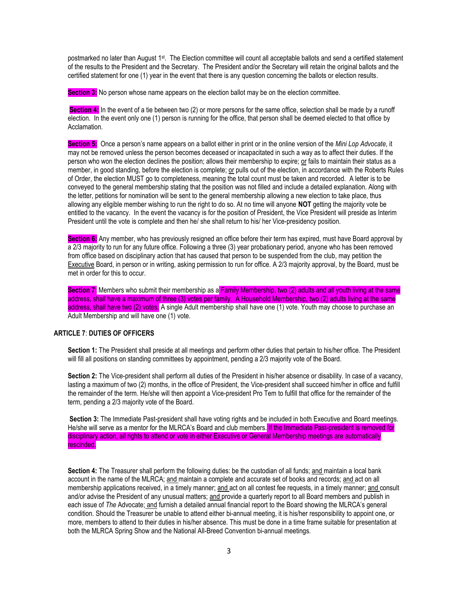postmarked no later than August 1st. The Election committee will count all acceptable ballots and send a certified statement of the results to the President and the Secretary. The President and/or the Secretary will retain the original ballots and the certified statement for one (1) year in the event that there is any question concerning the ballots or election results.

**Section 3:** No person whose name appears on the election ballot may be on the election committee.

**Section 4:** In the event of a tie between two (2) or more persons for the same office, selection shall be made by a runoff election. In the event only one (1) person is running for the office, that person shall be deemed elected to that office by Acclamation.

**Section 5:** Once a person's name appears on a ballot either in print or in the online version of the *Mini Lop Advocate*, it may not be removed unless the person becomes deceased or incapacitated in such a way as to affect their duties. If the person who won the election declines the position; allows their membership to expire; or fails to maintain their status as a member, in good standing, before the election is complete; or pulls out of the election, in accordance with the Roberts Rules of Order, the election MUST go to completeness, meaning the total count must be taken and recorded. A letter is to be conveyed to the general membership stating that the position was not filled and include a detailed explanation. Along with the letter, petitions for nomination will be sent to the general membership allowing a new election to take place, thus allowing any eligible member wishing to run the right to do so. At no time will anyone **NOT** getting the majority vote be entitled to the vacancy. In the event the vacancy is for the position of President, the Vice President will preside as Interim President until the vote is complete and then he/ she shall return to his/ her Vice-presidency position.

**Section 6:** Any member, who has previously resigned an office before their term has expired, must have Board approval by a 2/3 majority to run for any future office. Following a three (3) year probationary period, anyone who has been removed from office based on disciplinary action that has caused that person to be suspended from the club, may petition the Executive Board, in person or in writing, asking permission to run for office. A 2/3 majority approval, by the Board, must be met in order for this to occur.

**Section 7:** Members who submit their membership as a Family Membership, two (2) adults and all youth living at the same address, shall have a maximum of three (3) votes per family. A Household Membership, two (2) adults living at the same address, shall have two (2) votes. A single Adult membership shall have one (1) vote. Youth may choose to purchase an Adult Membership and will have one (1) vote.

## **ARTICLE 7**: **DUTIES OF OFFICERS**

**Section 1:** The President shall preside at all meetings and perform other duties that pertain to his/her office. The President will fill all positions on standing committees by appointment, pending a 2/3 majority vote of the Board.

**Section 2:** The Vice-president shall perform all duties of the President in his/her absence or disability. In case of a vacancy, lasting a maximum of two (2) months, in the office of President, the Vice-president shall succeed him/her in office and fulfill the remainder of the term. He/she will then appoint a Vice-president Pro Tem to fulfill that office for the remainder of the term, pending a 2/3 majority vote of the Board.

**Section 3:** The Immediate Past-president shall have voting rights and be included in both Executive and Board meetings. He/she will serve as a mentor for the MLRCA's Board and club members. If the Immediate Past-president is removed for disciplinary action, all rights to attend or vote in either Executive or General Membership meetings are automatically rescinded.

**Section 4:** The Treasurer shall perform the following duties: be the custodian of all funds; and maintain a local bank account in the name of the MLRCA; and maintain a complete and accurate set of books and records; and act on all membership applications received, in a timely manner; and act on all contest fee requests, in a timely manner; and consult and/or advise the President of any unusual matters; and provide a quarterly report to all Board members and publish in each issue of *The* Advocate; and furnish a detailed annual financial report to the Board showing the MLRCA's general condition. Should the Treasurer be unable to attend either bi-annual meeting, it is his/her responsibility to appoint one, or more, members to attend to their duties in his/her absence. This must be done in a time frame suitable for presentation at both the MLRCA Spring Show and the National All-Breed Convention bi-annual meetings.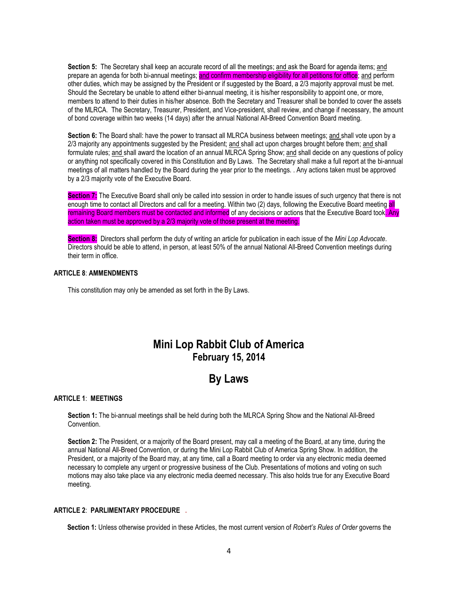**Section 5:** The Secretary shall keep an accurate record of all the meetings; and ask the Board for agenda items; and prepare an agenda for both bi-annual meetings; and confirm membership eligibility for all petitions for office; and perform other duties, which may be assigned by the President or if suggested by the Board, a 2/3 majority approval must be met. Should the Secretary be unable to attend either bi-annual meeting, it is his/her responsibility to appoint one, or more, members to attend to their duties in his/her absence. Both the Secretary and Treasurer shall be bonded to cover the assets of the MLRCA. The Secretary, Treasurer, President, and Vice-president, shall review, and change if necessary, the amount of bond coverage within two weeks (14 days) after the annual National All-Breed Convention Board meeting.

Section 6: The Board shall: have the power to transact all MLRCA business between meetings; and shall vote upon by a 2/3 majority any appointments suggested by the President; and shall act upon charges brought before them; and shall formulate rules; and shall award the location of an annual MLRCA Spring Show; and shall decide on any questions of policy or anything not specifically covered in this Constitution and By Laws. The Secretary shall make a full report at the bi-annual meetings of all matters handled by the Board during the year prior to the meetings. . Any actions taken must be approved by a 2/3 majority vote of the Executive Board.

**Section 7:** The Executive Board shall only be called into session in order to handle issues of such urgency that there is not enough time to contact all Directors and call for a meeting. Within two (2) days, following the Executive Board meeting all remaining Board members must be contacted and informed of any decisions or actions that the Executive Board took. Any action taken must be approved by a 2/3 majority vote of those present at the meeting.

**Section 8:** Directors shall perform the duty of writing an article for publication in each issue of the *Mini Lop Advocate*. Directors should be able to attend, in person, at least 50% of the annual National All-Breed Convention meetings during their term in office.

#### **ARTICLE 8**: **AMMENDMENTS**

This constitution may only be amended as set forth in the By Laws.

## **Mini Lop Rabbit Club of America February 15, 2014**

# **By Laws**

#### **ARTICLE 1**: **MEETINGS**

**Section 1:** The bi-annual meetings shall be held during both the MLRCA Spring Show and the National All-Breed Convention.

**Section 2:** The President, or a majority of the Board present, may call a meeting of the Board, at any time, during the annual National All-Breed Convention, or during the Mini Lop Rabbit Club of America Spring Show. In addition, the President, or a majority of the Board may, at any time, call a Board meeting to order via any electronic media deemed necessary to complete any urgent or progressive business of the Club. Presentations of motions and voting on such motions may also take place via any electronic media deemed necessary. This also holds true for any Executive Board meeting.

#### **ARTICLE 2**: **PARLIMENTARY PROCEDURE .**

**Section 1:** Unless otherwise provided in these Articles, the most current version of *Robert's Rules of Order* governs the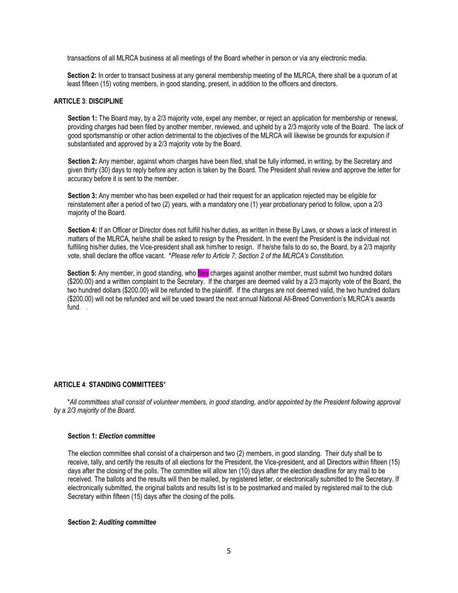transactions of all MLRCA business at all meetings of the Board whether in person or via any electronic media.

**Section 2:** In order to transact business at any general membership meeting of the MLRCA, there shall be a quorum of at least fifteen (15) voting members, in good standing, present, in addition to the officers and directors.

#### **ARTICLE 3**: **DISCIPLINE**

**Section 1:** The Board may, by a 2/3 majority vote, expel any member, or reject an application for membership or renewal, providing charges had been filed by another member, reviewed, and upheld by a 2/3 majority vote of the Board. The lack of good sportsmanship or other action detrimental to the objectives of the MLRCA will likewise be grounds for expulsion if substantiated and approved by a 2/3 majority vote by the Board.

**Section 2:** Any member, against whom charges have been filed, shall be fully informed, in writing, by the Secretary and given thirty (30) days to reply before any action is taken by the Board. The President shall review and approve the letter for accuracy before it is sent to the member.

**Section 3:** Any member who has been expelled or had their request for an application rejected may be eligible for reinstatement after a period of two (2) years, with a mandatory one (1) year probationary period to follow, upon a 2/3 majority of the Board.

**Section 4:** If an Officer or Director does not fulfill his/her duties, as written in these By Laws, or shows a lack of interest in matters of the MLRCA, he/she shall be asked to resign by the President. In the event the President is the individual not fulfilling his/her duties, the Vice-president shall ask him/her to resign. If he/she fails to do so, the Board, by a 2/3 majority vote, shall declare the office vacant. \**Please refer to Article 7; Section 2 of the MLRCA's Constitution.*

**Section 5:** Any member, in good standing, who files charges against another member, must submit two hundred dollars (\$200.00) and a written complaint to the Secretary. If the charges are deemed valid by a 2/3 majority vote of the Board, the two hundred dollars (\$200.00) will be refunded to the plaintiff. If the charges are not deemed valid, the two hundred dollars (\$200.00) will not be refunded and will be used toward the next annual National All-Breed Convention's MLRCA's awards fund. .

## **ARTICLE 4**: **STANDING COMMITTEES**\*

 \**All committees shall consist of volunteer members, in good standing, and/or appointed by the President following approval by a 2/3 majority of the Board.*

#### **Section 1:** *Election committee*

The election committee shall consist of a chairperson and two (2) members, in good standing. Their duty shall be to receive, tally, and certify the results of all elections for the President, the Vice-president, and all Directors within fifteen (15) days after the closing of the polls. The committee will allow ten (10) days after the election deadline for any mail to be received. The ballots and the results will then be mailed, by registered letter, or electronically submitted to the Secretary. If electronically submitted, the original ballots and results list is to be postmarked and mailed by registered mail to the club Secretary within fifteen (15) days after the closing of the polls.

#### **Section 2:** *Auditing committee*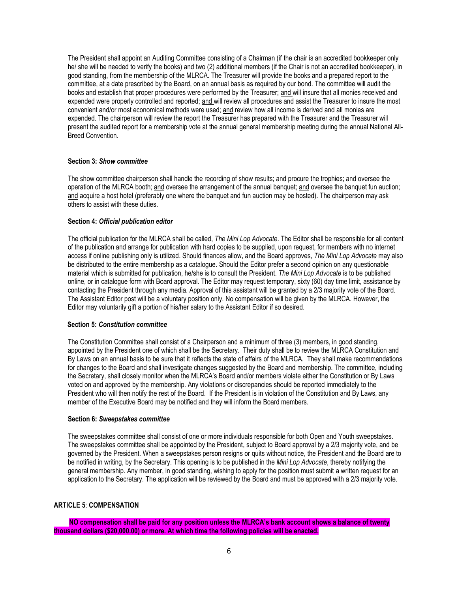The President shall appoint an Auditing Committee consisting of a Chairman (if the chair is an accredited bookkeeper only he/ she will be needed to verify the books) and two (2) additional members (if the Chair is not an accredited bookkeeper), in good standing, from the membership of the MLRCA. The Treasurer will provide the books and a prepared report to the committee, at a date prescribed by the Board, on an annual basis as required by our bond. The committee will audit the books and establish that proper procedures were performed by the Treasurer; and will insure that all monies received and expended were properly controlled and reported; and will review all procedures and assist the Treasurer to insure the most convenient and/or most economical methods were used; and review how all income is derived and all monies are expended. The chairperson will review the report the Treasurer has prepared with the Treasurer and the Treasurer will present the audited report for a membership vote at the annual general membership meeting during the annual National All-Breed Convention.

### **Section 3:** *Show committee*

The show committee chairperson shall handle the recording of show results; and procure the trophies; and oversee the operation of the MLRCA booth; and oversee the arrangement of the annual banquet; and oversee the banquet fun auction; and acquire a host hotel (preferably one where the banquet and fun auction may be hosted). The chairperson may ask others to assist with these duties.

#### **Section 4:** *Official publication editor*

The official publication for the MLRCA shall be called, *The Mini Lop Advocate*. The Editor shall be responsible for all content of the publication and arrange for publication with hard copies to be supplied, upon request, for members with no internet access if online publishing only is utilized. Should finances allow, and the Board approves, *The Mini Lop Advocate* may also be distributed to the entire membership as a catalogue. Should the Editor prefer a second opinion on any questionable material which is submitted for publication, he/she is to consult the President. *The Mini Lop Advocate* is to be published online, or in catalogue form with Board approval. The Editor may request temporary, sixty (60) day time limit, assistance by contacting the President through any media. Approval of this assistant will be granted by a 2/3 majority vote of the Board. The Assistant Editor post will be a voluntary position only. No compensation will be given by the MLRCA. However, the Editor may voluntarily gift a portion of his/her salary to the Assistant Editor if so desired.

#### **Section 5:** *Constitution committee*

The Constitution Committee shall consist of a Chairperson and a minimum of three (3) members, in good standing, appointed by the President one of which shall be the Secretary. Their duty shall be to review the MLRCA Constitution and By Laws on an annual basis to be sure that it reflects the state of affairs of the MLRCA. They shall make recommendations for changes to the Board and shall investigate changes suggested by the Board and membership. The committee, including the Secretary, shall closely monitor when the MLRCA's Board and/or members violate either the Constitution or By Laws voted on and approved by the membership. Any violations or discrepancies should be reported immediately to the President who will then notify the rest of the Board. If the President is in violation of the Constitution and By Laws, any member of the Executive Board may be notified and they will inform the Board members.

#### **Section 6:** *Sweepstakes committee*

The sweepstakes committee shall consist of one or more individuals responsible for both Open and Youth sweepstakes. The sweepstakes committee shall be appointed by the President, subject to Board approval by a 2/3 majority vote, and be governed by the President. When a sweepstakes person resigns or quits without notice, the President and the Board are to be notified in writing, by the Secretary. This opening is to be published in the *Mini Lop Advocate*, thereby notifying the general membership. Any member, in good standing, wishing to apply for the position must submit a written request for an application to the Secretary. The application will be reviewed by the Board and must be approved with a 2/3 majority vote.

## **ARTICLE 5**: **COMPENSATION**

 **NO compensation shall be paid for any position unless the MLRCA's bank account shows a balance of twenty thousand dollars (\$20,000.00) or more. At which time the following policies will be enacted.**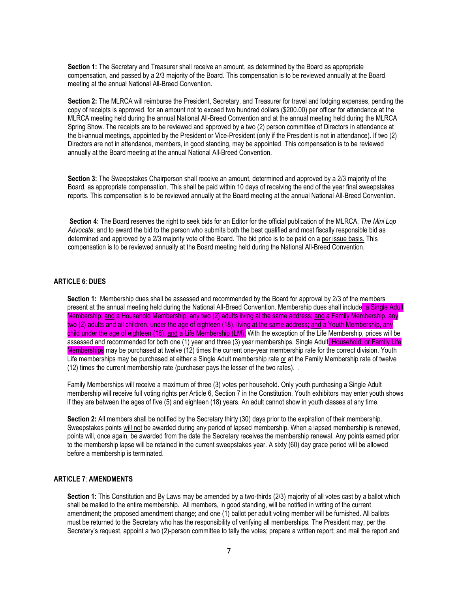**Section 1:** The Secretary and Treasurer shall receive an amount, as determined by the Board as appropriate compensation, and passed by a 2/3 majority of the Board. This compensation is to be reviewed annually at the Board meeting at the annual National All-Breed Convention.

**Section 2:** The MLRCA will reimburse the President, Secretary, and Treasurer for travel and lodging expenses, pending the copy of receipts is approved, for an amount not to exceed two hundred dollars (\$200.00) per officer for attendance at the MLRCA meeting held during the annual National All-Breed Convention and at the annual meeting held during the MLRCA Spring Show. The receipts are to be reviewed and approved by a two (2) person committee of Directors in attendance at the bi-annual meetings, appointed by the President or Vice-President (only if the President is not in attendance). If two (2) Directors are not in attendance, members, in good standing, may be appointed. This compensation is to be reviewed annually at the Board meeting at the annual National All-Breed Convention.

**Section 3:** The Sweepstakes Chairperson shall receive an amount, determined and approved by a 2/3 majority of the Board, as appropriate compensation. This shall be paid within 10 days of receiving the end of the year final sweepstakes reports. This compensation is to be reviewed annually at the Board meeting at the annual National All-Breed Convention.

**Section 4:** The Board reserves the right to seek bids for an Editor for the official publication of the MLRCA, *The Mini Lop Advocate*; and to award the bid to the person who submits both the best qualified and most fiscally responsible bid as determined and approved by a 2/3 majority vote of the Board. The bid price is to be paid on a per issue basis. This compensation is to be reviewed annually at the Board meeting held during the National All-Breed Convention.

## **ARTICLE 6**: **DUES**

**Section 1:** Membership dues shall be assessed and recommended by the Board for approval by 2/3 of the members present at the annual meeting held during the National All-Breed Convention. Membership dues shall includel a Single Adult Membership; and a Household Membership, any two (2) adults living at the same address; and a Family Membership, any two (2) adults and all children, under the age of eighteen (18), living at the same address; and a Youth Membership, any child under the age of eighteen (18); and a Life Membership (LM). With the exception of the Life Membership, prices will be assessed and recommended for both one (1) year and three (3) year memberships. Single Adult, Household, or Family Life Memberships may be purchased at twelve (12) times the current one-year membership rate for the correct division. Youth Life memberships may be purchased at either a Single Adult membership rate or at the Family Membership rate of twelve (12) times the current membership rate (purchaser pays the lesser of the two rates). .

Family Memberships will receive a maximum of three (3) votes per household. Only youth purchasing a Single Adult membership will receive full voting rights per Article 6, Section 7 in the Constitution. Youth exhibitors may enter youth shows if they are between the ages of five (5) and eighteen (18) years. An adult cannot show in youth classes at any time.

**Section 2:** All members shall be notified by the Secretary thirty (30) days prior to the expiration of their membership. Sweepstakes points will not be awarded during any period of lapsed membership. When a lapsed membership is renewed, points will, once again, be awarded from the date the Secretary receives the membership renewal. Any points earned prior to the membership lapse will be retained in the current sweepstakes year. A sixty (60) day grace period will be allowed before a membership is terminated.

## **ARTICLE 7**: **AMENDMENTS**

**Section 1:** This Constitution and By Laws may be amended by a two-thirds (2/3) majority of all votes cast by a ballot which shall be mailed to the entire membership. All members, in good standing, will be notified in writing of the current amendment; the proposed amendment change; and one (1) ballot per adult voting member will be furnished. All ballots must be returned to the Secretary who has the responsibility of verifying all memberships. The President may, per the Secretary's request, appoint a two (2)-person committee to tally the votes; prepare a written report; and mail the report and